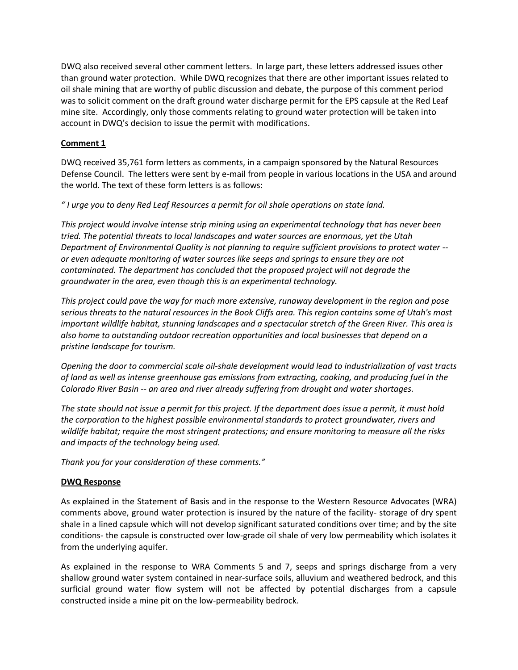DWQ also received several other comment letters. In large part, these letters addressed issues other than ground water protection. While DWQ recognizes that there are other important issues related to oil shale mining that are worthy of public discussion and debate, the purpose of this comment period was to solicit comment on the draft ground water discharge permit for the EPS capsule at the Red Leaf mine site. Accordingly, only those comments relating to ground water protection will be taken into account in DWQ's decision to issue the permit with modifications.

# **Comment 1**

DWQ received 35,761 form letters as comments, in a campaign sponsored by the Natural Resources Defense Council. The letters were sent by e-mail from people in various locations in the USA and around the world. The text of these form letters is as follows:

*" I urge you to deny Red Leaf Resources a permit for oil shale operations on state land.*

*This project would involve intense strip mining using an experimental technology that has never been tried. The potential threats to local landscapes and water sources are enormous, yet the Utah Department of Environmental Quality is not planning to require sufficient provisions to protect water - or even adequate monitoring of water sources like seeps and springs to ensure they are not contaminated. The department has concluded that the proposed project will not degrade the groundwater in the area, even though this is an experimental technology.*

*This project could pave the way for much more extensive, runaway development in the region and pose serious threats to the natural resources in the Book Cliffs area. This region contains some of Utah's most important wildlife habitat, stunning landscapes and a spectacular stretch of the Green River. This area is also home to outstanding outdoor recreation opportunities and local businesses that depend on a pristine landscape for tourism.*

*Opening the door to commercial scale oil-shale development would lead to industrialization of vast tracts of land as well as intense greenhouse gas emissions from extracting, cooking, and producing fuel in the Colorado River Basin -- an area and river already suffering from drought and water shortages.*

*The state should not issue a permit for this project. If the department does issue a permit, it must hold the corporation to the highest possible environmental standards to protect groundwater, rivers and wildlife habitat; require the most stringent protections; and ensure monitoring to measure all the risks and impacts of the technology being used.*

*Thank you for your consideration of these comments."*

# **DWQ Response**

As explained in the Statement of Basis and in the response to the Western Resource Advocates (WRA) comments above, ground water protection is insured by the nature of the facility- storage of dry spent shale in a lined capsule which will not develop significant saturated conditions over time; and by the site conditions- the capsule is constructed over low-grade oil shale of very low permeability which isolates it from the underlying aquifer.

As explained in the response to WRA Comments 5 and 7, seeps and springs discharge from a very shallow ground water system contained in near-surface soils, alluvium and weathered bedrock, and this surficial ground water flow system will not be affected by potential discharges from a capsule constructed inside a mine pit on the low-permeability bedrock.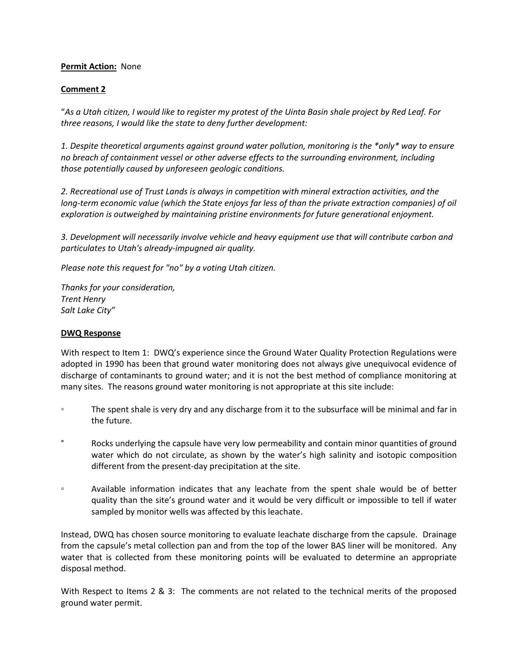# **Permit Action:** None

# **Comment 2**

"*As a Utah citizen, I would like to register my protest of the Uinta Basin shale project by Red Leaf. For three reasons, I would like the state to deny further development:*

*1. Despite theoretical arguments against ground water pollution, monitoring is the \*only\* way to ensure no breach of containment vessel or other adverse effects to the surrounding environment, including those potentially caused by unforeseen geologic conditions.*

*2. Recreational use of Trust Lands is always in competition with mineral extraction activities, and the long-term economic value (which the State enjoys far less of than the private extraction companies) of oil exploration is outweighed by maintaining pristine environments for future generational enjoyment.*

*3. Development will necessarily involve vehicle and heavy equipment use that will contribute carbon and particulates to Utah's already-impugned air quality.*

*Please note this request for "no" by a voting Utah citizen.*

*Thanks for your consideration, Trent Henry Salt Lake City"*

## **DWQ Response**

With respect to Item 1: DWQ's experience since the Ground Water Quality Protection Regulations were adopted in 1990 has been that ground water monitoring does not always give unequivocal evidence of discharge of contaminants to ground water; and it is not the best method of compliance monitoring at many sites. The reasons ground water monitoring is not appropriate at this site include:

- The spent shale is very dry and any discharge from it to the subsurface will be minimal and far in the future.
- ° Rocks underlying the capsule have very low permeability and contain minor quantities of ground water which do not circulate, as shown by the water's high salinity and isotopic composition different from the present-day precipitation at the site.
- Available information indicates that any leachate from the spent shale would be of better quality than the site's ground water and it would be very difficult or impossible to tell if water sampled by monitor wells was affected by this leachate.

Instead, DWQ has chosen source monitoring to evaluate leachate discharge from the capsule. Drainage from the capsule's metal collection pan and from the top of the lower BAS liner will be monitored. Any water that is collected from these monitoring points will be evaluated to determine an appropriate disposal method.

With Respect to Items 2 & 3: The comments are not related to the technical merits of the proposed ground water permit.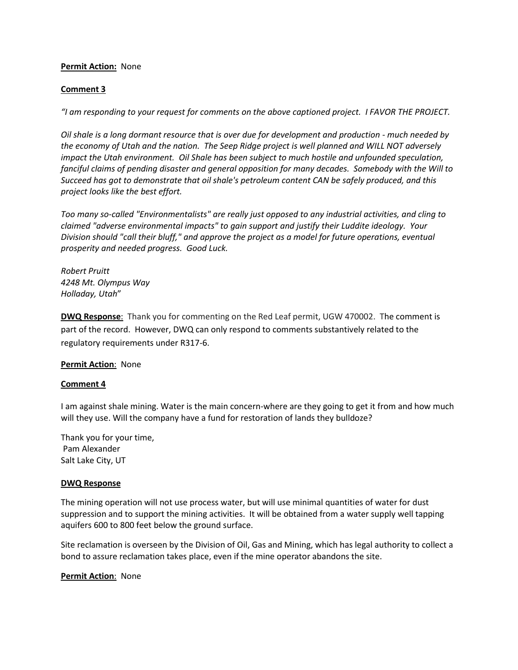# **Permit Action:** None

## **Comment 3**

*"I am responding to your request for comments on the above captioned project. I FAVOR THE PROJECT.*

*Oil shale is a long dormant resource that is over due for development and production - much needed by the economy of Utah and the nation. The Seep Ridge project is well planned and WILL NOT adversely impact the Utah environment. Oil Shale has been subject to much hostile and unfounded speculation, fanciful claims of pending disaster and general opposition for many decades. Somebody with the Will to Succeed has got to demonstrate that oil shale's petroleum content CAN be safely produced, and this project looks like the best effort.*

*Too many so-called "Environmentalists" are really just opposed to any industrial activities, and cling to claimed "adverse environmental impacts" to gain support and justify their Luddite ideology. Your Division should "call their bluff," and approve the project as a model for future operations, eventual prosperity and needed progress. Good Luck.*

*Robert Pruitt 4248 Mt. Olympus Way Holladay, Utah*"

**DWQ Response**: Thank you for commenting on the Red Leaf permit, UGW 470002. The comment is part of the record. However, DWQ can only respond to comments substantively related to the regulatory requirements under R317-6.

### **Permit Action**: None

### **Comment 4**

I am against shale mining. Water is the main concern-where are they going to get it from and how much will they use. Will the company have a fund for restoration of lands they bulldoze?

Thank you for your time, Pam Alexander Salt Lake City, UT

### **DWQ Response**

The mining operation will not use process water, but will use minimal quantities of water for dust suppression and to support the mining activities. It will be obtained from a water supply well tapping aquifers 600 to 800 feet below the ground surface.

Site reclamation is overseen by the Division of Oil, Gas and Mining, which has legal authority to collect a bond to assure reclamation takes place, even if the mine operator abandons the site.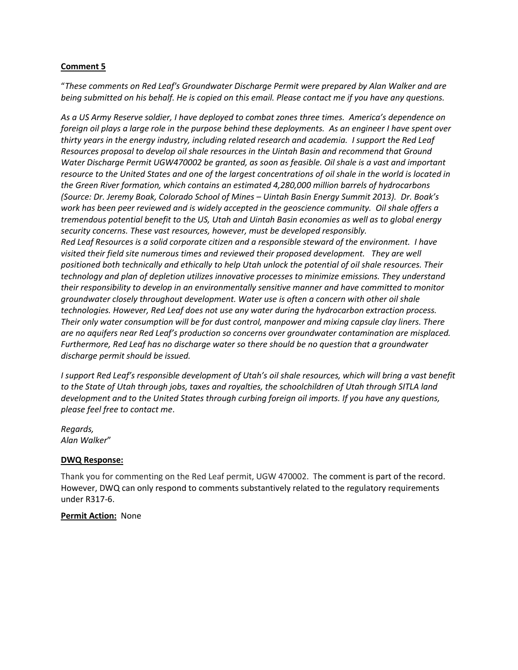# **Comment 5**

"*These comments on Red Leaf's Groundwater Discharge Permit were prepared by Alan Walker and are being submitted on his behalf. He is copied on this email. Please contact me if you have any questions.*

*As a US Army Reserve soldier, I have deployed to combat zones three times. America's dependence on foreign oil plays a large role in the purpose behind these deployments. As an engineer I have spent over thirty years in the energy industry, including related research and academia. I support the Red Leaf Resources proposal to develop oil shale resources in the Uintah Basin and recommend that Ground Water Discharge Permit UGW470002 be granted, as soon as feasible. Oil shale is a vast and important resource to the United States and one of the largest concentrations of oil shale in the world is located in the Green River formation, which contains an estimated 4,280,000 million barrels of hydrocarbons (Source: Dr. Jeremy Boak, Colorado School of Mines – Uintah Basin Energy Summit 2013). Dr. Boak's work has been peer reviewed and is widely accepted in the geoscience community. Oil shale offers a tremendous potential benefit to the US, Utah and Uintah Basin economies as well as to global energy security concerns. These vast resources, however, must be developed responsibly. Red Leaf Resources is a solid corporate citizen and a responsible steward of the environment. I have visited their field site numerous times and reviewed their proposed development. They are well positioned both technically and ethically to help Utah unlock the potential of oil shale resources. Their technology and plan of depletion utilizes innovative processes to minimize emissions. They understand their responsibility to develop in an environmentally sensitive manner and have committed to monitor groundwater closely throughout development. Water use is often a concern with other oil shale technologies. However, Red Leaf does not use any water during the hydrocarbon extraction process. Their only water consumption will be for dust control, manpower and mixing capsule clay liners. There are no aquifers near Red Leaf's production so concerns over groundwater contamination are misplaced. Furthermore, Red Leaf has no discharge water so there should be no question that a groundwater discharge permit should be issued.*

*I support Red Leaf's responsible development of Utah's oil shale resources, which will bring a vast benefit to the State of Utah through jobs, taxes and royalties, the schoolchildren of Utah through SITLA land development and to the United States through curbing foreign oil imports. If you have any questions, please feel free to contact me*.

*Regards, Alan Walker*"

# **DWQ Response:**

Thank you for commenting on the Red Leaf permit, UGW 470002. The comment is part of the record. However, DWQ can only respond to comments substantively related to the regulatory requirements under R317-6.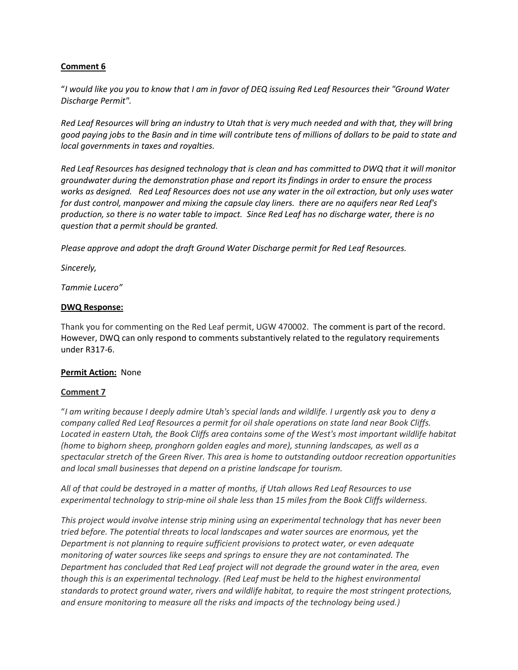# **Comment 6**

"*I would like you you to know that I am in favor of DEQ issuing Red Leaf Resources their "Ground Water Discharge Permit".*

*Red Leaf Resources will bring an industry to Utah that is very much needed and with that, they will bring good paying jobs to the Basin and in time will contribute tens of millions of dollars to be paid to state and local governments in taxes and royalties.*

*Red Leaf Resources has designed technology that is clean and has committed to DWQ that it will monitor groundwater during the demonstration phase and report its findings in order to ensure the process works as designed. Red Leaf Resources does not use any water in the oil extraction, but only uses water for dust control, manpower and mixing the capsule clay liners. there are no aquifers near Red Leaf's production, so there is no water table to impact. Since Red Leaf has no discharge water, there is no question that a permit should be granted.*

*Please approve and adopt the draft Ground Water Discharge permit for Red Leaf Resources.*

*Sincerely,*

*Tammie Lucero"*

# **DWQ Response:**

Thank you for commenting on the Red Leaf permit, UGW 470002. The comment is part of the record. However, DWQ can only respond to comments substantively related to the regulatory requirements under R317-6.

# **Permit Action:** None

# **Comment 7**

"*I am writing because I deeply admire Utah's special lands and wildlife. I urgently ask you to deny a company called Red Leaf Resources a permit for oil shale operations on state land near Book Cliffs. Located in eastern Utah, the Book Cliffs area contains some of the West's most important wildlife habitat (home to bighorn sheep, pronghorn golden eagles and more), stunning landscapes, as well as a spectacular stretch of the Green River. This area is home to outstanding outdoor recreation opportunities and local small businesses that depend on a pristine landscape for tourism.* 

*All of that could be destroyed in a matter of months, if Utah allows Red Leaf Resources to use experimental technology to strip-mine oil shale less than 15 miles from the Book Cliffs wilderness.* 

*This project would involve intense strip mining using an experimental technology that has never been tried before. The potential threats to local landscapes and water sources are enormous, yet the Department is not planning to require sufficient provisions to protect water, or even adequate monitoring of water sources like seeps and springs to ensure they are not contaminated. The Department has concluded that Red Leaf project will not degrade the ground water in the area, even though this is an experimental technology. (Red Leaf must be held to the highest environmental standards to protect ground water, rivers and wildlife habitat, to require the most stringent protections, and ensure monitoring to measure all the risks and impacts of the technology being used.)*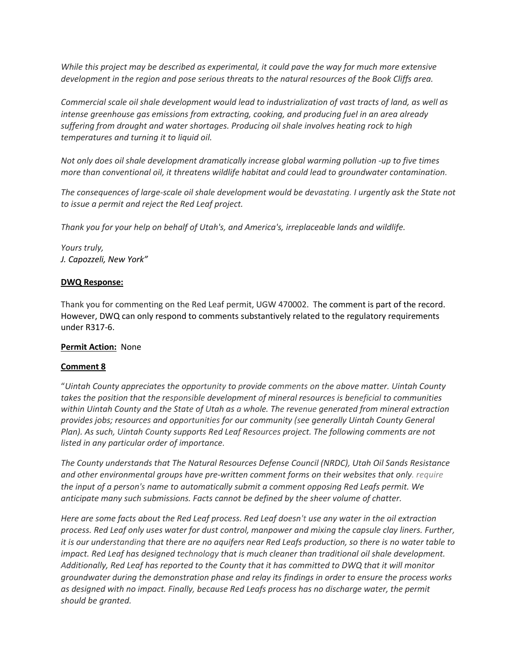*While this project may be described as experimental, it could pave the way for much more extensive development in the region and pose serious threats to the natural resources of the Book Cliffs area.* 

*Commercial scale oil shale development would lead to industrialization of vast tracts of land, as well as intense greenhouse gas emissions from extracting, cooking, and producing fuel in an area already suffering from drought and water shortages. Producing oil shale involves heating rock to high temperatures and turning it to liquid oil.* 

*Not only does oil shale development dramatically increase global warming pollution -up to five times more than conventional oil, it threatens wildlife habitat and could lead to groundwater contamination.* 

*The consequences of large-scale oil shale development would be devastating. I urgently ask the State not to issue a permit and reject the Red Leaf project.* 

*Thank you for your help on behalf of Utah's, and America's, irreplaceable lands and wildlife.* 

*Yours truly, J. Capozzeli, New York"*

# **DWQ Response:**

Thank you for commenting on the Red Leaf permit, UGW 470002. The comment is part of the record. However, DWQ can only respond to comments substantively related to the regulatory requirements under R317-6.

# **Permit Action:** None

# **Comment 8**

"*Uintah County appreciates the opportunity to provide comments on the above matter. Uintah County takes the position that the responsible development of mineral resources is beneficial to communities within Uintah County and the State of Utah as a whole. The revenue generated from mineral extraction provides jobs; resources and opportunities for our community (see generally Uintah County General Plan). As such, Uintah County supports Red Leaf Resources project. The following comments are not listed in any particular order of importance.* 

*The County understands that The Natural Resources Defense Council (NRDC), Utah Oil Sands Resistance and other environmental groups have pre-written comment forms on their websites that only. require the input of a person's name to automatically submit a comment opposing Red Leafs permit. We anticipate many such submissions. Facts cannot be defined by the sheer volume of chatter.* 

*Here are some facts about the Red Leaf process. Red Leaf doesn't use any water in the oil extraction process. Red Leaf only uses water for dust control, manpower and mixing the capsule clay liners. Further, it is our understanding that there are no aquifers near Red Leafs production, so there is no water table to impact. Red Leaf has designed technology that is much cleaner than traditional oil shale development. Additionally, Red Leaf has reported to the County that it has committed to DWQ that it will monitor groundwater during the demonstration phase and relay its findings in order to ensure the process works as designed with no impact. Finally, because Red Leafs process has no discharge water, the permit should be granted.*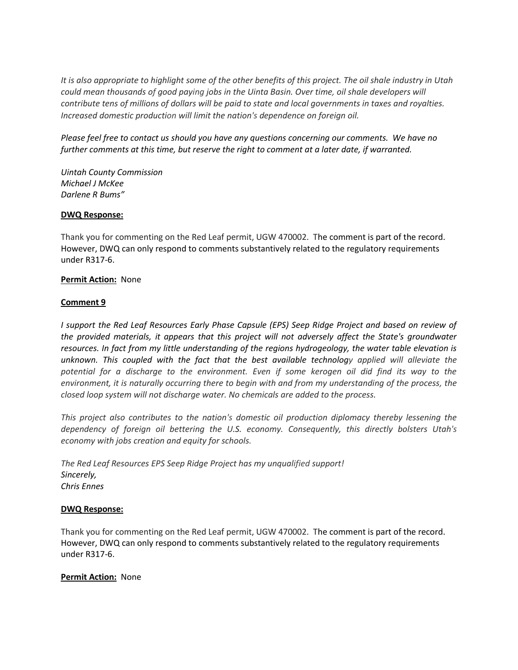*It is also appropriate to highlight some of the other benefits of this project. The oil shale industry in Utah could mean thousands of good paying jobs in the Uinta Basin. Over time, oil shale developers will contribute tens of millions of dollars will be paid to state and local governments in taxes and royalties. Increased domestic production will limit the nation's dependence on foreign oil.* 

*Please feel free to contact us should you have any questions concerning our comments. We have no further comments at this time, but reserve the right to comment at a later date, if warranted.*

*Uintah County Commission Michael J McKee Darlene R Bums"*

## **DWQ Response:**

Thank you for commenting on the Red Leaf permit, UGW 470002. The comment is part of the record. However, DWQ can only respond to comments substantively related to the regulatory requirements under R317-6.

## **Permit Action:** None

# **Comment 9**

*I support the Red Leaf Resources Early Phase Capsule (EPS) Seep Ridge Project and based on review of the provided materials, it appears that this project will not adversely affect the State's groundwater resources. In fact from my little understanding of the regions hydrogeology, the water table elevation is unknown. This coupled with the fact that the best available technology applied will alleviate the potential for a discharge to the environment. Even if some kerogen oil did find its way to the environment, it is naturally occurring there to begin with and from my understanding of the process, the closed loop system will not discharge water. No chemicals are added to the process.* 

*This project also contributes to the nation's domestic oil production diplomacy thereby lessening the dependency of foreign oil bettering the U.S. economy. Consequently, this directly bolsters Utah's economy with jobs creation and equity for schools.* 

*The Red Leaf Resources EPS Seep Ridge Project has my unqualified support! Sincerely, Chris Ennes*

### **DWQ Response:**

Thank you for commenting on the Red Leaf permit, UGW 470002. The comment is part of the record. However, DWQ can only respond to comments substantively related to the regulatory requirements under R317-6.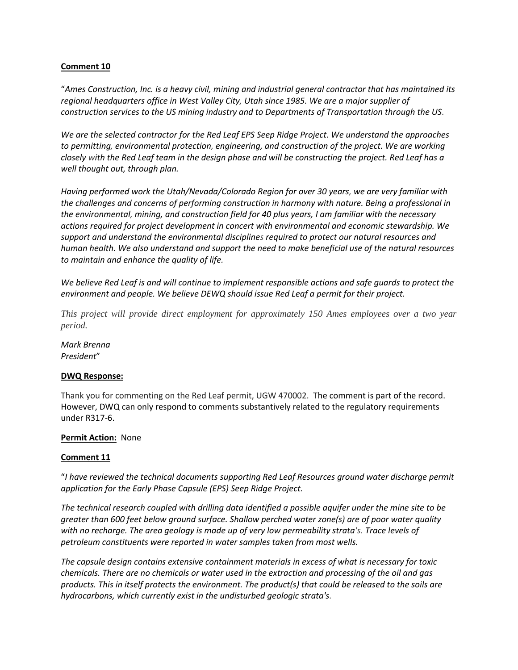## **Comment 10**

"*Ames Construction, Inc. is a heavy civil, mining and industrial general contractor that has maintained its regional headquarters office in West Valley City, Utah since 1985. We are a major supplier of construction services to the US mining industry and to Departments of Transportation through the US.* 

*We are the selected contractor for the Red Leaf EPS Seep Ridge Project. We understand the approaches to permitting, environmental protection, engineering, and construction of the project. We are working closely with the Red Leaf team in the design phase and will be constructing the project. Red Leaf has a well thought out, through plan.* 

*Having performed work the Utah/Nevada/Colorado Region for over 30 years, we are very familiar with the challenges and concerns of performing construction in harmony with nature. Being a professional in the environmental, mining, and construction field for 40 plus years, I am familiar with the necessary actions required for project development in concert with environmental and economic stewardship. We support and understand the environmental disciplines required to protect our natural resources and human health. We also understand and support the need to make beneficial use of the natural resources to maintain and enhance the quality of life.* 

*We believe Red Leaf is and will continue to implement responsible actions and safe guards to protect the environment and people. We believe DEWQ should issue Red Leaf a permit for their project.* 

*This project will provide direct employment for approximately 150 Ames employees over a two year period.* 

*Mark Brenna President*"

### **DWQ Response:**

Thank you for commenting on the Red Leaf permit, UGW 470002. The comment is part of the record. However, DWQ can only respond to comments substantively related to the regulatory requirements under R317-6.

## **Permit Action:** None

### **Comment 11**

"*I have reviewed the technical documents supporting Red Leaf Resources ground water discharge permit application for the Early Phase Capsule (EPS) Seep Ridge Project.* 

*The technical research coupled with drilling data identified a possible aquifer under the mine site to be greater than 600 feet below ground surface. Shallow perched water zone(s) are of poor water quality with no recharge. The area geology is made up of very low permeability strata's. Trace levels of petroleum constituents were reported in water samples taken from most wells.* 

*The capsule design contains extensive containment materials in excess of what is necessary for toxic chemicals. There are no chemicals or water used in the extraction and processing of the oil and gas products. This in itself protects the environment. The product(s) that could be released to the soils are hydrocarbons, which currently exist in the undisturbed geologic strata's.*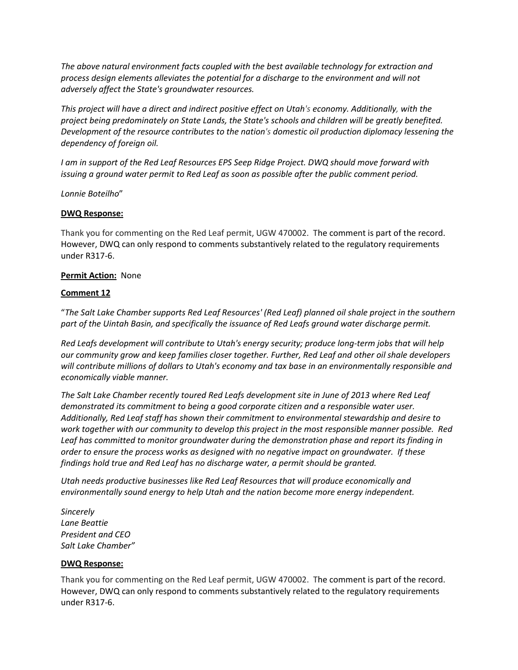*The above natural environment facts coupled with the best available technology for extraction and process design elements alleviates the potential for a discharge to the environment and will not adversely affect the State's groundwater resources.* 

*This project will have a direct and indirect positive effect on Utah's economy. Additionally, with the project being predominately on State Lands, the State's schools and children will be greatly benefited. Development of the resource contributes to the nation's domestic oil production diplomacy lessening the dependency of foreign oil.* 

*I am in support of the Red Leaf Resources EPS Seep Ridge Project. DWQ should move forward with issuing a ground water permit to Red Leaf as soon as possible after the public comment period.* 

*Lonnie Boteilho*"

# **DWQ Response:**

Thank you for commenting on the Red Leaf permit, UGW 470002. The comment is part of the record. However, DWQ can only respond to comments substantively related to the regulatory requirements under R317-6.

### **Permit Action:** None

## **Comment 12**

"*The Salt Lake Chamber supports Red Leaf Resources' (Red Leaf) planned oil shale project in the southern part of the Uintah Basin, and specifically the issuance of Red Leafs ground water discharge permit.* 

*Red Leafs development will contribute to Utah's energy security; produce long-term jobs that will help our community grow and keep families closer together. Further, Red Leaf and other oil shale developers will contribute millions of dollars to Utah's economy and tax base in an environmentally responsible and economically viable manner.* 

*The Salt Lake Chamber recently toured Red Leafs development site in June of 2013 where Red Leaf demonstrated its commitment to being a good corporate citizen and a responsible water user. Additionally, Red Leaf staff has shown their commitment to environmental stewardship and desire to work together with our community to develop this project in the most responsible manner possible. Red Leaf has committed to monitor groundwater during the demonstration phase and report its finding in order to ensure the process works as designed with no negative impact on groundwater. If these findings hold true and Red Leaf has no discharge water, a permit should be granted.*

*Utah needs productive businesses like Red Leaf Resources that will produce economically and environmentally sound energy to help Utah and the nation become more energy independent.*

*Sincerely Lane Beattie President and CEO Salt Lake Chamber"*

### **DWQ Response:**

Thank you for commenting on the Red Leaf permit, UGW 470002. The comment is part of the record. However, DWQ can only respond to comments substantively related to the regulatory requirements under R317-6.